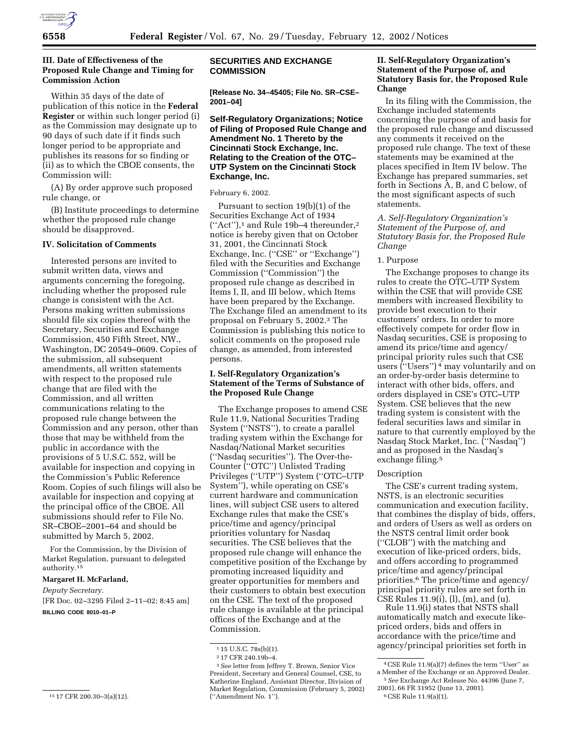

## **III. Date of Effectiveness of the Proposed Rule Change and Timing for Commission Action**

Within 35 days of the date of publication of this notice in the **Federal Register** or within such longer period (i) as the Commission may designate up to 90 days of such date if it finds such longer period to be appropriate and publishes its reasons for so finding or (ii) as to which the CBOE consents, the Commission will:

(A) By order approve such proposed rule change, or

(B) Institute proceedings to determine whether the proposed rule change should be disapproved.

# **IV. Solicitation of Comments**

Interested persons are invited to submit written data, views and arguments concerning the foregoing, including whether the proposed rule change is consistent with the Act. Persons making written submissions should file six copies thereof with the Secretary, Securities and Exchange Commission, 450 Fifth Street, NW., Washington, DC 20549–0609. Copies of the submission, all subsequent amendments, all written statements with respect to the proposed rule change that are filed with the Commission, and all written communications relating to the proposed rule change between the Commission and any person, other than those that may be withheld from the public in accordance with the provisions of 5 U.S.C. 552, will be available for inspection and copying in the Commission's Public Reference Room. Copies of such filings will also be available for inspection and copying at the principal office of the CBOE. All submissions should refer to File No. SR–CBOE–2001–64 and should be submitted by March 5, 2002.

For the Commission, by the Division of Market Regulation, pursuant to delegated authority.15

#### **Margaret H. McFarland,**

*Deputy Secretary.*

[FR Doc. 02–3295 Filed 2–11–02; 8:45 am] **BILLING CODE 8010–01–P**

## **SECURITIES AND EXCHANGE COMMISSION**

**[Release No. 34–45405; File No. SR–CSE– 2001–04]**

# **Self-Regulatory Organizations; Notice of Filing of Proposed Rule Change and Amendment No. 1 Thereto by the Cincinnati Stock Exchange, Inc. Relating to the Creation of the OTC– UTP System on the Cincinnati Stock Exchange, Inc.**

#### February 6, 2002.

Pursuant to section 19(b)(1) of the Securities Exchange Act of 1934 (''Act''),1 and Rule 19b–4 thereunder,2 notice is hereby given that on October 31, 2001, the Cincinnati Stock Exchange, Inc. ("CSE" or "Exchange") filed with the Securities and Exchange Commission (''Commission'') the proposed rule change as described in Items I, II, and III below, which Items have been prepared by the Exchange. The Exchange filed an amendment to its proposal on February 5, 2002.3 The Commission is publishing this notice to solicit comments on the proposed rule change, as amended, from interested persons.

# **I. Self-Regulatory Organization's Statement of the Terms of Substance of the Proposed Rule Change**

The Exchange proposes to amend CSE Rule 11.9, National Securities Trading System ("NSTS"), to create a parallel trading system within the Exchange for Nasdaq/National Market securities (''Nasdaq securities''). The Over-the-Counter (''OTC'') Unlisted Trading Privileges (''UTP'') System (''OTC–UTP System''), while operating on CSE's current hardware and communication lines, will subject CSE users to altered Exchange rules that make the CSE's price/time and agency/principal priorities voluntary for Nasdaq securities. The CSE believes that the proposed rule change will enhance the competitive position of the Exchange by promoting increased liquidity and greater opportunities for members and their customers to obtain best execution on the CSE. The text of the proposed rule change is available at the principal offices of the Exchange and at the Commission.

## **II. Self-Regulatory Organization's Statement of the Purpose of, and Statutory Basis for, the Proposed Rule Change**

In its filing with the Commission, the Exchange included statements concerning the purpose of and basis for the proposed rule change and discussed any comments it received on the proposed rule change. The text of these statements may be examined at the places specified in Item IV below. The Exchange has prepared summaries, set forth in Sections A, B, and C below, of the most significant aspects of such statements.

*A. Self-Regulatory Organization's Statement of the Purpose of, and Statutory Basis for, the Proposed Rule Change*

#### 1. Purpose

The Exchange proposes to change its rules to create the OTC–UTP System within the CSE that will provide CSE members with increased flexibility to provide best execution to their customers' orders. In order to more effectively compete for order flow in Nasdaq securities, CSE is proposing to amend its price/time and agency/ principal priority rules such that CSE users (''Users'') 4 may voluntarily and on an order-by-order basis determine to interact with other bids, offers, and orders displayed in CSE's OTC–UTP System. CSE believes that the new trading system is consistent with the federal securities laws and similar in nature to that currently employed by the Nasdaq Stock Market, Inc. (''Nasdaq'') and as proposed in the Nasdaq's exchange filing.5

## Description

The CSE's current trading system, NSTS, is an electronic securities communication and execution facility, that combines the display of bids, offers, and orders of Users as well as orders on the NSTS central limit order book (''CLOB'') with the matching and execution of like-priced orders, bids, and offers according to programmed price/time and agency/principal priorities.6 The price/time and agency/ principal priority rules are set forth in CSE Rules 11.9(i), (l), (m), and (u).

Rule 11.9(i) states that NSTS shall automatically match and execute likepriced orders, bids and offers in accordance with the price/time and agency/principal priorities set forth in

<sup>15</sup> 17 CFR 200.30–3(a)(12).

<sup>&</sup>lt;sup>1</sup> 15 U.S.C. 78s(b)(1).

<sup>2</sup> 17 CFR 240.19b–4.

<sup>3</sup>*See* letter from Jeffrey T. Brown, Senior Vice President, Secretary and General Counsel, CSE, to Katherine England, Assistant Director, Division of Market Regulation, Commission (February 5, 2002) (''Amendment No. 1'').

<sup>4</sup>CSE Rule 11.9(a)(7) defines the term ''User'' as a Member of the Exchange or an Approved Dealer.

<sup>5</sup>*See* Exchange Act Release No. 44396 (June 7, 2001), 66 FR 31952 (June 13, 2001).

<sup>6</sup>CSE Rule 11.9(a)(1).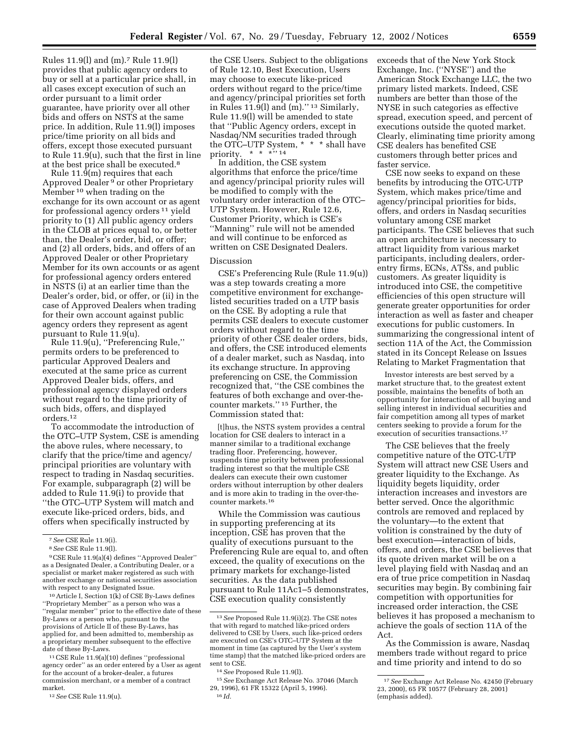Rules 11.9(l) and (m).7 Rule 11.9(l) provides that public agency orders to buy or sell at a particular price shall, in all cases except execution of such an order pursuant to a limit order guarantee, have priority over all other bids and offers on NSTS at the same price. In addition, Rule 11.9(l) imposes price/time priority on all bids and offers, except those executed pursuant to Rule 11.9(u), such that the first in line at the best price shall be executed.<sup>8</sup>

Rule 11.9(m) requires that each Approved Dealer 9 or other Proprietary Member 10 when trading on the exchange for its own account or as agent for professional agency orders 11 yield priority to (1) All public agency orders in the CLOB at prices equal to, or better than, the Dealer's order, bid, or offer; and (2) all orders, bids, and offers of an Approved Dealer or other Proprietary Member for its own accounts or as agent for professional agency orders entered in NSTS (i) at an earlier time than the Dealer's order, bid, or offer, or (ii) in the case of Approved Dealers when trading for their own account against public agency orders they represent as agent pursuant to Rule 11.9(u).

Rule 11.9(u), ''Preferencing Rule,'' permits orders to be preferenced to particular Approved Dealers and executed at the same price as current Approved Dealer bids, offers, and professional agency displayed orders without regard to the time priority of such bids, offers, and displayed orders.12

To accommodate the introduction of the OTC–UTP System, CSE is amending the above rules, where necessary, to clarify that the price/time and agency/ principal priorities are voluntary with respect to trading in Nasdaq securities. For example, subparagraph (2) will be added to Rule 11.9(i) to provide that ''the OTC–UTP System will match and execute like-priced orders, bids, and offers when specifically instructed by

11CSE Rule 11.9(a)(10) defines ''professional agency order'' as an order entered by a User as agent for the account of a broker-dealer, a futures commission merchant, or a member of a contract market.

12*See* CSE Rule 11.9(u).

the CSE Users. Subject to the obligations of Rule 12.10, Best Execution, Users may choose to execute like-priced orders without regard to the price/time and agency/principal priorities set forth in Rules  $11.9(1)$  and  $(m)$ ."<sup>13</sup> Similarly, Rule 11.9(l) will be amended to state that ''Public Agency orders, except in Nasdaq/NM securities traded through the OTC–UTP System, \* \* \* shall have priority.  $* * * "14"$ 

In addition, the CSE system algorithms that enforce the price/time and agency/principal priority rules will be modified to comply with the voluntary order interaction of the OTC– UTP System. However, Rule 12.6, Customer Priority, which is CSE's ''Manning'' rule will not be amended and will continue to be enforced as written on CSE Designated Dealers.

#### Discussion

CSE's Preferencing Rule (Rule 11.9(u)) was a step towards creating a more competitive environment for exchangelisted securities traded on a UTP basis on the CSE. By adopting a rule that permits CSE dealers to execute customer orders without regard to the time priority of other CSE dealer orders, bids, and offers, the CSE introduced elements of a dealer market, such as Nasdaq, into its exchange structure. In approving preferencing on CSE, the Commission recognized that, ''the CSE combines the features of both exchange and over-thecounter markets.'' 15 Further, the Commission stated that:

[t]hus, the NSTS system provides a central location for CSE dealers to interact in a manner similar to a traditional exchange trading floor. Preferencing, however, suspends time priority between professional trading interest so that the multiple CSE dealers can execute their own customer orders without interruption by other dealers and is more akin to trading in the over-thecounter markets.16

While the Commission was cautious in supporting preferencing at its inception, CSE has proven that the quality of executions pursuant to the Preferencing Rule are equal to, and often exceed, the quality of executions on the primary markets for exchange-listed securities. As the data published pursuant to Rule 11Ac1–5 demonstrates, CSE execution quality consistently

exceeds that of the New York Stock Exchange, Inc. (''NYSE'') and the American Stock Exchange LLC, the two primary listed markets. Indeed, CSE numbers are better than those of the NYSE in such categories as effective spread, execution speed, and percent of executions outside the quoted market. Clearly, eliminating time priority among CSE dealers has benefited CSE customers through better prices and faster service.

CSE now seeks to expand on these benefits by introducing the OTC-UTP System, which makes price/time and agency/principal priorities for bids, offers, and orders in Nasdaq securities voluntary among CSE market participants. The CSE believes that such an open architecture is necessary to attract liquidity from various market participants, including dealers, orderentry firms, ECNs, ATSs, and public customers. As greater liquidity is introduced into CSE, the competitive efficiencies of this open structure will generate greater opportunities for order interaction as well as faster and cheaper executions for public customers. In summarizing the congressional intent of section 11A of the Act, the Commission stated in its Concept Release on Issues Relating to Market Fragmentation that

Investor interests are best served by a market structure that, to the greatest extent possible, maintains the benefits of both an opportunity for interaction of all buying and selling interest in individual securities and fair competition among all types of market centers seeking to provide a forum for the execution of securities transactions.17

The CSE believes that the freely competitive nature of the OTC-UTP System will attract new CSE Users and greater liquidity to the Exchange. As liquidity begets liquidity, order interaction increases and investors are better served. Once the algorithmic controls are removed and replaced by the voluntary—to the extent that volition is constrained by the duty of best execution—interaction of bids, offers, and orders, the CSE believes that its quote driven market will be on a level playing field with Nasdaq and an era of true price competition in Nasdaq securities may begin. By combining fair competition with opportunities for increased order interaction, the CSE believes it has proposed a mechanism to achieve the goals of section 11A of the Act.

As the Commission is aware, Nasdaq members trade without regard to price and time priority and intend to do so

<sup>7</sup>*See* CSE Rule 11.9(i).

<sup>8</sup>*See* CSE Rule 11.9(l).

<sup>9</sup>CSE Rule 11.9(a)(4) defines ''Approved Dealer'' as a Designated Dealer, a Contributing Dealer, or a specialist or market maker registered as such with another exchange or national securities association with respect to any Designated Issue.

<sup>10</sup>Article I, Section 1(k) of CSE By-Laws defines ''Proprietary Member'' as a person who was a ''regular member'' prior to the effective date of these By-Laws or a person who, pursuant to the provisions of Article II of these By-Laws, has applied for, and been admitted to, membership as a proprietary member subsequent to the effective date of these By-Laws.

<sup>13</sup>*See* Proposed Rule 11.9(i)(2). The CSE notes that with regard to matched like-priced orders delivered to CSE by Users, such like-priced orders are executed on CSE's OTC–UTP System at the moment in time (as captured by the User's system time stamp) that the matched like-priced orders are sent to CSE

<sup>14</sup>*See* Proposed Rule 11.9(l).

<sup>15</sup>*See* Exchange Act Release No. 37046 (March 29, 1996), 61 FR 15322 (April 5, 1996). 16 *Id.*

<sup>17</sup>*See* Exchange Act Release No. 42450 (February 23, 2000), 65 FR 10577 (February 28, 2001) (emphasis added).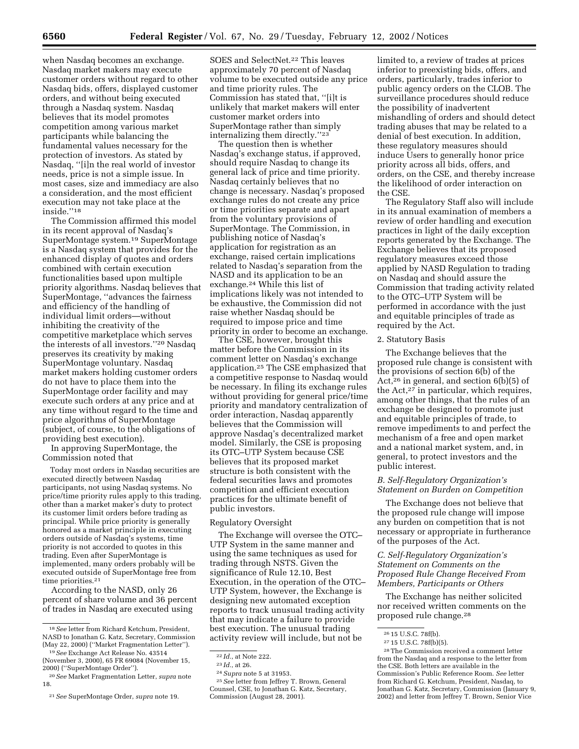when Nasdaq becomes an exchange. Nasdaq market makers may execute customer orders without regard to other Nasdaq bids, offers, displayed customer orders, and without being executed through a Nasdaq system. Nasdaq believes that its model promotes competition among various market participants while balancing the fundamental values necessary for the protection of investors. As stated by Nasdaq, ''[i]n the real world of investor needs, price is not a simple issue. In most cases, size and immediacy are also a consideration, and the most efficient execution may not take place at the inside.''18

The Commission affirmed this model in its recent approval of Nasdaq's SuperMontage system.19 SuperMontage is a Nasdaq system that provides for the enhanced display of quotes and orders combined with certain execution functionalities based upon multiple priority algorithms. Nasdaq believes that SuperMontage, ''advances the fairness and efficiency of the handling of individual limit orders—without inhibiting the creativity of the competitive marketplace which serves the interests of all investors.''20 Nasdaq preserves its creativity by making SuperMontage voluntary. Nasdaq market makers holding customer orders do not have to place them into the SuperMontage order facility and may execute such orders at any price and at any time without regard to the time and price algorithms of SuperMontage (subject, of course, to the obligations of providing best execution).

In approving SuperMontage, the Commission noted that

Today most orders in Nasdaq securities are executed directly between Nasdaq participants, not using Nasdaq systems. No price/time priority rules apply to this trading, other than a market maker's duty to protect its customer limit orders before trading as principal. While price priority is generally honored as a market principle in executing orders outside of Nasdaq's systems, time priority is not accorded to quotes in this trading. Even after SuperMontage is implemented, many orders probably will be executed outside of SuperMontage free from time priorities.<sup>21</sup>

According to the NASD, only 26 percent of share volume and 36 percent of trades in Nasdaq are executed using

SOES and SelectNet.<sup>22</sup> This leaves approximately 70 percent of Nasdaq volume to be executed outside any price and time priority rules. The Commission has stated that, ''[i]t is unlikely that market makers will enter customer market orders into SuperMontage rather than simply internalizing them directly.''23

The question then is whether Nasdaq's exchange status, if approved, should require Nasdaq to change its general lack of price and time priority. Nasdaq certainly believes that no change is necessary. Nasdaq's proposed exchange rules do not create any price or time priorities separate and apart from the voluntary provisions of SuperMontage. The Commission, in publishing notice of Nasdaq's application for registration as an exchange, raised certain implications related to Nasdaq's separation from the NASD and its application to be an exchange.24 While this list of implications likely was not intended to be exhaustive, the Commission did not raise whether Nasdaq should be required to impose price and time priority in order to become an exchange.

The CSE, however, brought this matter before the Commission in its comment letter on Nasdaq's exchange application.25 The CSE emphasized that a competitive response to Nasdaq would be necessary. In filing its exchange rules without providing for general price/time priority and mandatory centralization of order interaction, Nasdaq apparently believes that the Commission will approve Nasdaq's decentralized market model. Similarly, the CSE is proposing its OTC–UTP System because CSE believes that its proposed market structure is both consistent with the federal securities laws and promotes competition and efficient execution practices for the ultimate benefit of public investors.

#### Regulatory Oversight

The Exchange will oversee the OTC– UTP System in the same manner and using the same techniques as used for trading through NSTS. Given the significance of Rule 12.10, Best Execution, in the operation of the OTC– UTP System, however, the Exchange is designing new automated exception reports to track unusual trading activity that may indicate a failure to provide best execution. The unusual trading activity review will include, but not be

limited to, a review of trades at prices inferior to preexisting bids, offers, and orders, particularly, trades inferior to public agency orders on the CLOB. The surveillance procedures should reduce the possibility of inadvertent mishandling of orders and should detect trading abuses that may be related to a denial of best execution. In addition, these regulatory measures should induce Users to generally honor price priority across all bids, offers, and orders, on the CSE, and thereby increase the likelihood of order interaction on the CSE.

The Regulatory Staff also will include in its annual examination of members a review of order handling and execution practices in light of the daily exception reports generated by the Exchange. The Exchange believes that its proposed regulatory measures exceed those applied by NASD Regulation to trading on Nasdaq and should assure the Commission that trading activity related to the OTC–UTP System will be performed in accordance with the just and equitable principles of trade as required by the Act.

### 2. Statutory Basis

The Exchange believes that the proposed rule change is consistent with the provisions of section 6(b) of the Act,<sup>26</sup> in general, and section  $6(b)(5)$  of the Act,27 in particular, which requires, among other things, that the rules of an exchange be designed to promote just and equitable principles of trade, to remove impediments to and perfect the mechanism of a free and open market and a national market system, and, in general, to protect investors and the public interest.

## *B. Self-Regulatory Organization's Statement on Burden on Competition*

The Exchange does not believe that the proposed rule change will impose any burden on competition that is not necessary or appropriate in furtherance of the purposes of the Act.

### *C. Self-Regulatory Organization's Statement on Comments on the Proposed Rule Change Received From Members, Participants or Others*

The Exchange has neither solicited nor received written comments on the proposed rule change.28

<sup>18</sup>*See* letter from Richard Ketchum, President, NASD to Jonathan G. Katz, Secretary, Commission (May 22, 2000) (''Market Fragmentation Letter'').

<sup>19</sup>*See* Exchange Act Release No. 43514 (November 3, 2000), 65 FR 69084 (November 15, 2000) (''SuperMontage Order'').

<sup>20</sup>*See* Market Fragmentation Letter, *supra* note 18.

<sup>21</sup>*See* SuperMontage Order, *supra* note 19.

<sup>22</sup> *Id.*, at Note 222.

<sup>23</sup> *Id.*, at 26.

<sup>24</sup>*Supra* note 5 at 31953.

<sup>25</sup>*See* letter from Jeffrey T. Brown, General Counsel, CSE, to Jonathan G. Katz, Secretary, Commission (August 28, 2001).

<sup>26</sup> 15 U.S.C. 78f(b).

<sup>27</sup> 15 U.S.C. 78f(b)(5).

<sup>28</sup>The Commission received a comment letter from the Nasdaq and a response to the letter from the CSE. Both letters are available in the Commission's Public Reference Room. *See* letter from Richard G. Ketchum, President, Nasdaq, to Jonathan G. Katz, Secretary, Commission (January 9, 2002) and letter from Jeffrey T. Brown, Senior Vice